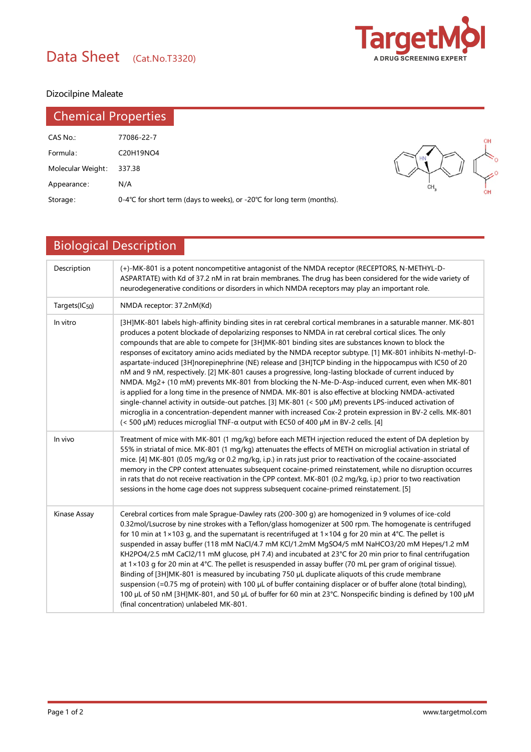# Data Sheet (Cat.No.T3320)



### Dizocilpine Maleate

| <b>Chemical Properties</b>    |                                                                      |
|-------------------------------|----------------------------------------------------------------------|
| CAS No.:                      | 77086-22-7                                                           |
| Formula:<br>Molecular Weight: | C20H19NO4<br>337.38                                                  |
| Appearance:                   | N/A                                                                  |
| Storage:                      | 0-4℃ for short term (days to weeks), or -20℃ for long term (months). |

## Biological Description

| Description                | (+)-MK-801 is a potent noncompetitive antagonist of the NMDA receptor (RECEPTORS, N-METHYL-D-<br>ASPARTATE) with Kd of 37.2 nM in rat brain membranes. The drug has been considered for the wide variety of<br>neurodegenerative conditions or disorders in which NMDA receptors may play an important role.                                                                                                                                                                                                                                                                                                                                                                                                                                                                                                                                                                                                                                                                                                                                                                                                                                                                                       |  |  |  |  |
|----------------------------|----------------------------------------------------------------------------------------------------------------------------------------------------------------------------------------------------------------------------------------------------------------------------------------------------------------------------------------------------------------------------------------------------------------------------------------------------------------------------------------------------------------------------------------------------------------------------------------------------------------------------------------------------------------------------------------------------------------------------------------------------------------------------------------------------------------------------------------------------------------------------------------------------------------------------------------------------------------------------------------------------------------------------------------------------------------------------------------------------------------------------------------------------------------------------------------------------|--|--|--|--|
| Targets(IC <sub>50</sub> ) | NMDA receptor: 37.2nM(Kd)                                                                                                                                                                                                                                                                                                                                                                                                                                                                                                                                                                                                                                                                                                                                                                                                                                                                                                                                                                                                                                                                                                                                                                          |  |  |  |  |
| In vitro                   | [3H]MK-801 labels high-affinity binding sites in rat cerebral cortical membranes in a saturable manner. MK-801<br>produces a potent blockade of depolarizing responses to NMDA in rat cerebral cortical slices. The only<br>compounds that are able to compete for [3H]MK-801 binding sites are substances known to block the<br>responses of excitatory amino acids mediated by the NMDA receptor subtype. [1] MK-801 inhibits N-methyl-D-<br>aspartate-induced [3H]norepinephrine (NE) release and [3H]TCP binding in the hippocampus with IC50 of 20<br>nM and 9 nM, respectively. [2] MK-801 causes a progressive, long-lasting blockade of current induced by<br>NMDA. Mg2+ (10 mM) prevents MK-801 from blocking the N-Me-D-Asp-induced current, even when MK-801<br>is applied for a long time in the presence of NMDA. MK-801 is also effective at blocking NMDA-activated<br>single-channel activity in outside-out patches. [3] MK-801 (< 500 µM) prevents LPS-induced activation of<br>microglia in a concentration-dependent manner with increased Cox-2 protein expression in BV-2 cells. MK-801<br>(< 500 μM) reduces microglial TNF-α output with EC50 of 400 μM in BV-2 cells. [4] |  |  |  |  |
| In vivo                    | Treatment of mice with MK-801 (1 mg/kg) before each METH injection reduced the extent of DA depletion by<br>55% in striatal of mice. MK-801 (1 mg/kg) attenuates the effects of METH on microglial activation in striatal of<br>mice. [4] MK-801 (0.05 mg/kg or 0.2 mg/kg, i.p.) in rats just prior to reactivation of the cocaine-associated<br>memory in the CPP context attenuates subsequent cocaine-primed reinstatement, while no disruption occurres<br>in rats that do not receive reactivation in the CPP context. MK-801 (0.2 mg/kg, i.p.) prior to two reactivation<br>sessions in the home cage does not suppress subsequent cocaine-primed reinstatement. [5]                                                                                                                                                                                                                                                                                                                                                                                                                                                                                                                         |  |  |  |  |
| Kinase Assay               | Cerebral cortices from male Sprague-Dawley rats (200-300 g) are homogenized in 9 volumes of ice-cold<br>0.32mol/Lsucrose by nine strokes with a Teflon/glass homogenizer at 500 rpm. The homogenate is centrifuged<br>for 10 min at 1×103 g, and the supernatant is recentrifuged at $1 \times 104$ g for 20 min at 4°C. The pellet is<br>suspended in assay buffer (118 mM NaCl/4.7 mM KCl/1.2mM MgSO4/5 mM NaHCO3/20 mM Hepes/1.2 mM<br>KH2PO4/2.5 mM CaCl2/11 mM glucose, pH 7.4) and incubated at 23°C for 20 min prior to final centrifugation<br>at 1×103 g for 20 min at 4°C. The pellet is resuspended in assay buffer (70 mL per gram of original tissue).<br>Binding of [3H]MK-801 is measured by incubating 750 µL duplicate aliquots of this crude membrane<br>suspension (=0.75 mg of protein) with 100 µL of buffer containing displacer or of buffer alone (total binding),<br>100 µL of 50 nM [3H]MK-801, and 50 µL of buffer for 60 min at 23°C. Nonspecific binding is defined by 100 µM<br>(final concentration) unlabeled MK-801.                                                                                                                                              |  |  |  |  |